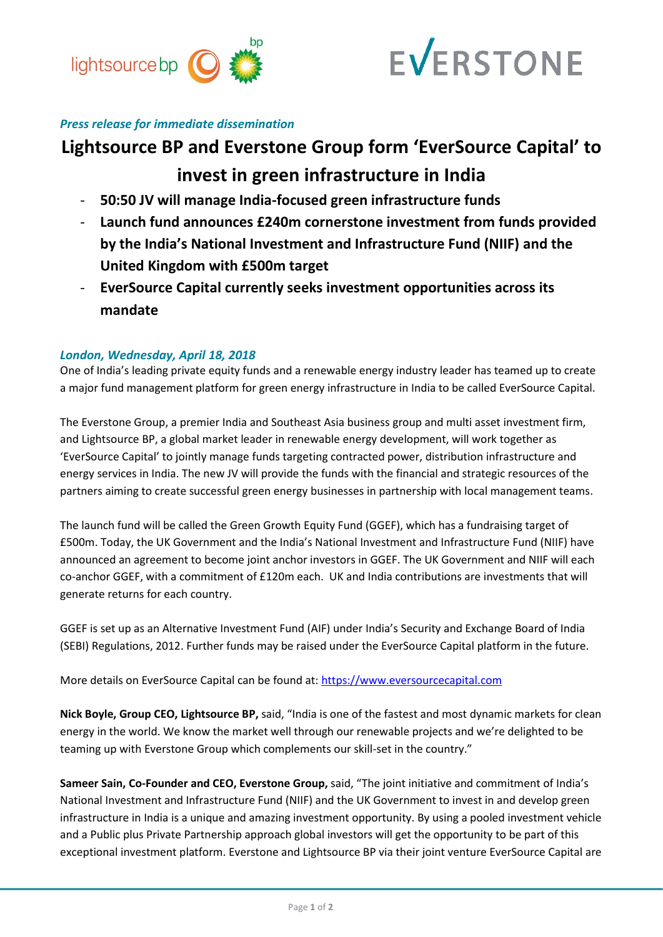



## *Press release for immediate dissemination*

# **Lightsource BP and Everstone Group form 'EverSource Capital' to invest in green infrastructure in India**

- **50:50 JV will manage India-focused green infrastructure funds**
- **Launch fund announces £240m cornerstone investment from funds provided by the India's National Investment and Infrastructure Fund (NIIF) and the United Kingdom with £500m target**
- **EverSource Capital currently seeks investment opportunities across its mandate**

## *London, Wednesday, April 18, 2018*

One of India's leading private equity funds and a renewable energy industry leader has teamed up to create a major fund management platform for green energy infrastructure in India to be called EverSource Capital.

The Everstone Group, a premier India and Southeast Asia business group and multi asset investment firm, and Lightsource BP, a global market leader in renewable energy development, will work together as 'EverSource Capital' to jointly manage funds targeting contracted power, distribution infrastructure and energy services in India. The new JV will provide the funds with the financial and strategic resources of the partners aiming to create successful green energy businesses in partnership with local management teams.

The launch fund will be called the Green Growth Equity Fund (GGEF), which has a fundraising target of £500m. Today, the UK Government and the India's National Investment and Infrastructure Fund (NIIF) have announced an agreement to become joint anchor investors in GGEF. The UK Government and NIIF will each co-anchor GGEF, with a commitment of £120m each. UK and India contributions are investments that will generate returns for each country.

GGEF is set up as an Alternative Investment Fund (AIF) under India's Security and Exchange Board of India (SEBI) Regulations, 2012. Further funds may be raised under the EverSource Capital platform in the future.

More details on EverSource Capital can be found at[: https://www.eversourcecapital.com](https://www.eversourcecapital.com/)

**Nick Boyle, Group CEO, Lightsource BP,** said, "India is one of the fastest and most dynamic markets for clean energy in the world. We know the market well through our renewable projects and we're delighted to be teaming up with Everstone Group which complements our skill-set in the country."

**Sameer Sain, Co-Founder and CEO, Everstone Group,** said, "The joint initiative and commitment of India's National Investment and Infrastructure Fund (NIIF) and the UK Government to invest in and develop green infrastructure in India is a unique and amazing investment opportunity. By using a pooled investment vehicle and a Public plus Private Partnership approach global investors will get the opportunity to be part of this exceptional investment platform. Everstone and Lightsource BP via their joint venture EverSource Capital are